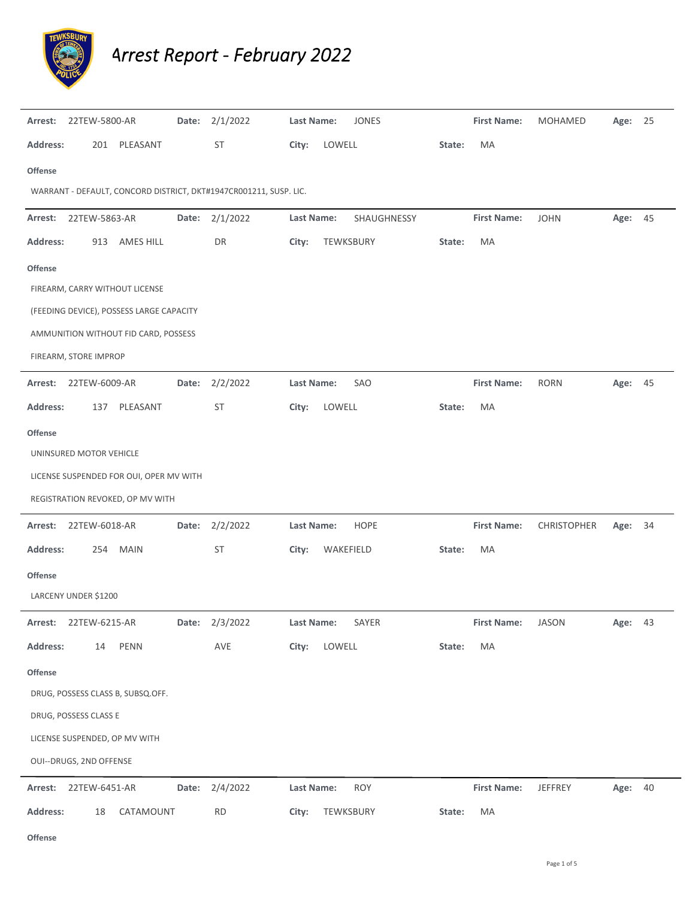

*Arrest Report ‐ February 2022*

| Arrest:<br>22TEW-5800-AR                                          | Date: | 2/1/2022       | Last Name:      | JONES       |        | <b>First Name:</b> | MOHAMED     | Age: 25 |    |
|-------------------------------------------------------------------|-------|----------------|-----------------|-------------|--------|--------------------|-------------|---------|----|
| <b>Address:</b><br>201 PLEASANT                                   |       | <b>ST</b>      | LOWELL<br>City: |             | State: | MA                 |             |         |    |
| <b>Offense</b>                                                    |       |                |                 |             |        |                    |             |         |    |
| WARRANT - DEFAULT, CONCORD DISTRICT, DKT#1947CR001211, SUSP. LIC. |       |                |                 |             |        |                    |             |         |    |
| 22TEW-5863-AR<br>Arrest:                                          | Date: | 2/1/2022       | Last Name:      | SHAUGHNESSY |        | <b>First Name:</b> | <b>JOHN</b> | Age: 45 |    |
| <b>Address:</b><br>913 AMES HILL                                  |       | DR             | City:           | TEWKSBURY   | State: | MA                 |             |         |    |
| <b>Offense</b>                                                    |       |                |                 |             |        |                    |             |         |    |
| FIREARM, CARRY WITHOUT LICENSE                                    |       |                |                 |             |        |                    |             |         |    |
| (FEEDING DEVICE), POSSESS LARGE CAPACITY                          |       |                |                 |             |        |                    |             |         |    |
| AMMUNITION WITHOUT FID CARD, POSSESS                              |       |                |                 |             |        |                    |             |         |    |
| FIREARM, STORE IMPROP                                             |       |                |                 |             |        |                    |             |         |    |
| 22TEW-6009-AR<br>Arrest:                                          | Date: | 2/2/2022       | Last Name:      | SAO         |        | <b>First Name:</b> | <b>RORN</b> | Age: 45 |    |
| <b>Address:</b><br>PLEASANT<br>137                                |       | <b>ST</b>      | City:<br>LOWELL |             | State: | MA                 |             |         |    |
| <b>Offense</b>                                                    |       |                |                 |             |        |                    |             |         |    |
| UNINSURED MOTOR VEHICLE                                           |       |                |                 |             |        |                    |             |         |    |
| LICENSE SUSPENDED FOR OUI, OPER MV WITH                           |       |                |                 |             |        |                    |             |         |    |
| REGISTRATION REVOKED, OP MV WITH                                  |       |                |                 |             |        |                    |             |         |    |
| Arrest:<br>22TEW-6018-AR                                          | Date: | 2/2/2022       | Last Name:      | <b>HOPE</b> |        | <b>First Name:</b> | CHRISTOPHER | Age:    | 34 |
| <b>Address:</b><br>254 MAIN                                       |       | ST             | City:           | WAKEFIELD   | State: | MA                 |             |         |    |
| <b>Offense</b>                                                    |       |                |                 |             |        |                    |             |         |    |
| LARCENY UNDER \$1200                                              |       |                |                 |             |        |                    |             |         |    |
| Arrest: 22TEW-6215-AR                                             |       | Date: 2/3/2022 | Last Name:      | SAYER       |        | <b>First Name:</b> | JASON       | Age: 43 |    |
| <b>Address:</b><br>14<br>PENN                                     |       | AVE            | City:<br>LOWELL |             | State: | MA                 |             |         |    |
| Offense                                                           |       |                |                 |             |        |                    |             |         |    |
| DRUG, POSSESS CLASS B, SUBSQ.OFF.                                 |       |                |                 |             |        |                    |             |         |    |
| DRUG, POSSESS CLASS E                                             |       |                |                 |             |        |                    |             |         |    |
| LICENSE SUSPENDED, OP MV WITH                                     |       |                |                 |             |        |                    |             |         |    |
| OUI--DRUGS, 2ND OFFENSE                                           |       |                |                 |             |        |                    |             |         |    |
|                                                                   |       |                |                 |             |        |                    |             |         |    |
| Arrest: 22TEW-6451-AR                                             |       | Date: 2/4/2022 | Last Name:      | <b>ROY</b>  |        | <b>First Name:</b> | JEFFREY     | Age: 40 |    |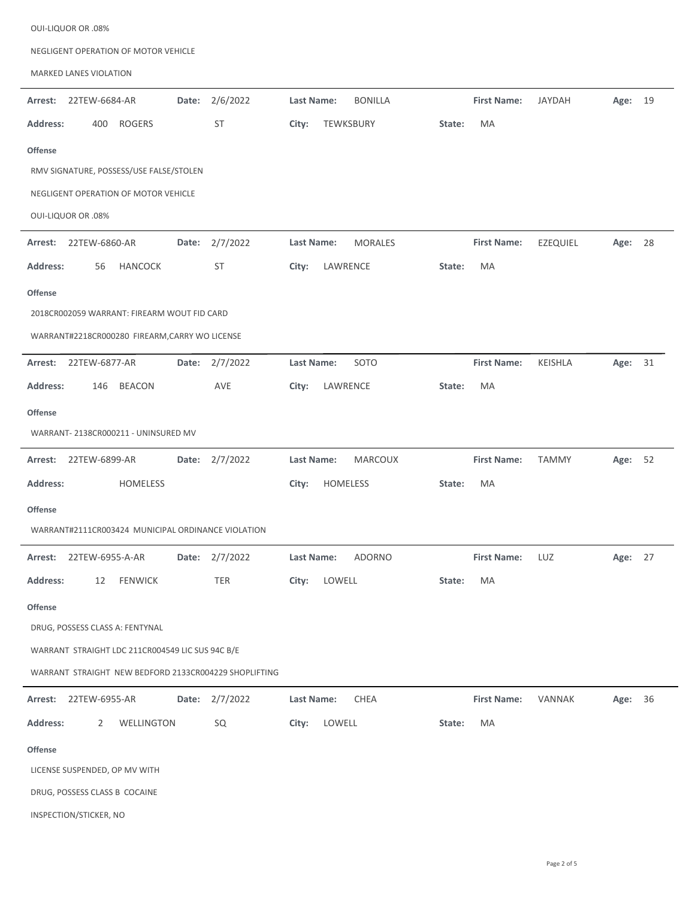| NEGLIGENT OPERATION OF MOTOR VEHICLE                  |                              |                                                     |  |  |  |  |  |  |  |  |
|-------------------------------------------------------|------------------------------|-----------------------------------------------------|--|--|--|--|--|--|--|--|
| MARKED LANES VIOLATION                                |                              |                                                     |  |  |  |  |  |  |  |  |
| 2/6/2022<br>22TEW-6684-AR<br>Date:<br>Arrest:         | <b>BONILLA</b><br>Last Name: | <b>First Name:</b><br><b>JAYDAH</b><br>Age:<br>19   |  |  |  |  |  |  |  |  |
| <b>ST</b><br><b>Address:</b><br><b>ROGERS</b><br>400  | TEWKSBURY<br>City:<br>State: | MA                                                  |  |  |  |  |  |  |  |  |
| <b>Offense</b>                                        |                              |                                                     |  |  |  |  |  |  |  |  |
| RMV SIGNATURE, POSSESS/USE FALSE/STOLEN               |                              |                                                     |  |  |  |  |  |  |  |  |
| NEGLIGENT OPERATION OF MOTOR VEHICLE                  |                              |                                                     |  |  |  |  |  |  |  |  |
| <b>OUI-LIQUOR OR .08%</b>                             |                              |                                                     |  |  |  |  |  |  |  |  |
| 2/7/2022<br>22TEW-6860-AR<br>Arrest:<br>Date:         | Last Name:<br><b>MORALES</b> | <b>First Name:</b><br><b>EZEQUIEL</b><br>28<br>Age: |  |  |  |  |  |  |  |  |
| <b>Address:</b><br><b>HANCOCK</b><br>ST<br>56         | LAWRENCE<br>City:<br>State:  | MA                                                  |  |  |  |  |  |  |  |  |
| <b>Offense</b>                                        |                              |                                                     |  |  |  |  |  |  |  |  |
| 2018CR002059 WARRANT: FIREARM WOUT FID CARD           |                              |                                                     |  |  |  |  |  |  |  |  |
| WARRANT#2218CR000280 FIREARM, CARRY WO LICENSE        |                              |                                                     |  |  |  |  |  |  |  |  |
| Arrest:<br>22TEW-6877-AR<br>2/7/2022<br>Date:         | Last Name:<br>SOTO           | <b>First Name:</b><br>KEISHLA<br>Age:<br>31         |  |  |  |  |  |  |  |  |
| <b>Address:</b><br><b>BEACON</b><br>AVE<br>146        | LAWRENCE<br>City:<br>State:  | MA                                                  |  |  |  |  |  |  |  |  |
| <b>Offense</b>                                        |                              |                                                     |  |  |  |  |  |  |  |  |
| WARRANT- 2138CR000211 - UNINSURED MV                  |                              |                                                     |  |  |  |  |  |  |  |  |
| 22TEW-6899-AR<br>Date: 2/7/2022<br>Arrest:            | Last Name:<br><b>MARCOUX</b> | <b>First Name:</b><br><b>TAMMY</b><br>Age: 52       |  |  |  |  |  |  |  |  |
| Address:<br><b>HOMELESS</b>                           | HOMELESS<br>City:<br>State:  | MA                                                  |  |  |  |  |  |  |  |  |
| Offense                                               |                              |                                                     |  |  |  |  |  |  |  |  |
| WARRANT#2111CR003424 MUNICIPAL ORDINANCE VIOLATION    |                              |                                                     |  |  |  |  |  |  |  |  |
| Date: 2/7/2022<br>Arrest: 22TEW-6955-A-AR             | <b>ADORNO</b><br>Last Name:  | <b>First Name:</b><br>LUZ<br>Age: 27                |  |  |  |  |  |  |  |  |
| <b>Address:</b><br><b>FENWICK</b><br>TER<br>12        | LOWELL<br>City:<br>State:    | MA                                                  |  |  |  |  |  |  |  |  |
| <b>Offense</b>                                        |                              |                                                     |  |  |  |  |  |  |  |  |
| DRUG, POSSESS CLASS A: FENTYNAL                       |                              |                                                     |  |  |  |  |  |  |  |  |
| WARRANT STRAIGHT LDC 211CR004549 LIC SUS 94C B/E      |                              |                                                     |  |  |  |  |  |  |  |  |
| WARRANT STRAIGHT NEW BEDFORD 2133CR004229 SHOPLIFTING |                              |                                                     |  |  |  |  |  |  |  |  |
| Date: 2/7/2022<br>Arrest:<br>22TEW-6955-AR            | CHEA<br>Last Name:           | Age: 36<br><b>First Name:</b><br>VANNAK             |  |  |  |  |  |  |  |  |
| <b>Address:</b><br>WELLINGTON<br>SQ<br>$\mathbf{2}$   | LOWELL<br>City:<br>State:    | MA                                                  |  |  |  |  |  |  |  |  |
| <b>Offense</b>                                        |                              |                                                     |  |  |  |  |  |  |  |  |
| LICENSE SUSPENDED, OP MV WITH                         |                              |                                                     |  |  |  |  |  |  |  |  |
| DRUG, POSSESS CLASS B COCAINE                         |                              |                                                     |  |  |  |  |  |  |  |  |
| INSPECTION/STICKER, NO                                |                              |                                                     |  |  |  |  |  |  |  |  |

OUI‐LIQUOR OR .08%

L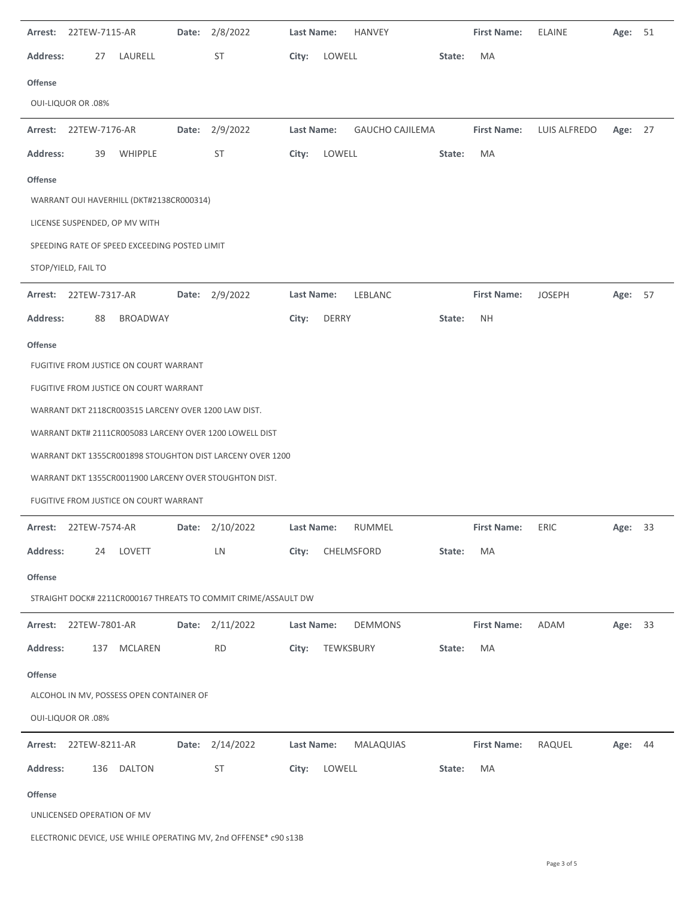| Arrest:         | 22TEW-7115-AR              |                                                      | Date: | 2/8/2022                                                       | Last Name: |              | HANVEY                 |        | <b>First Name:</b> | <b>ELAINE</b> | Age:    | 51 |
|-----------------|----------------------------|------------------------------------------------------|-------|----------------------------------------------------------------|------------|--------------|------------------------|--------|--------------------|---------------|---------|----|
| <b>Address:</b> | 27                         | LAURELL                                              |       | ST                                                             | City:      | LOWELL       |                        | State: | MA                 |               |         |    |
| Offense         |                            |                                                      |       |                                                                |            |              |                        |        |                    |               |         |    |
|                 | <b>OUI-LIQUOR OR .08%</b>  |                                                      |       |                                                                |            |              |                        |        |                    |               |         |    |
|                 | Arrest: 22TEW-7176-AR      |                                                      | Date: | 2/9/2022                                                       | Last Name: |              | <b>GAUCHO CAJILEMA</b> |        | <b>First Name:</b> | LUIS ALFREDO  | Age:    | 27 |
| <b>Address:</b> | 39                         | WHIPPLE                                              |       | ST                                                             | City:      | LOWELL       |                        | State: | MA                 |               |         |    |
| <b>Offense</b>  |                            |                                                      |       |                                                                |            |              |                        |        |                    |               |         |    |
|                 |                            | WARRANT OUI HAVERHILL (DKT#2138CR000314)             |       |                                                                |            |              |                        |        |                    |               |         |    |
|                 |                            | LICENSE SUSPENDED, OP MV WITH                        |       |                                                                |            |              |                        |        |                    |               |         |    |
|                 |                            | SPEEDING RATE OF SPEED EXCEEDING POSTED LIMIT        |       |                                                                |            |              |                        |        |                    |               |         |    |
|                 | STOP/YIELD, FAIL TO        |                                                      |       |                                                                |            |              |                        |        |                    |               |         |    |
| Arrest:         | 22TEW-7317-AR              |                                                      |       | Date: 2/9/2022                                                 | Last Name: |              | LEBLANC                |        | <b>First Name:</b> | <b>JOSEPH</b> | Age:    | 57 |
| <b>Address:</b> | 88                         | <b>BROADWAY</b>                                      |       |                                                                | City:      | <b>DERRY</b> |                        | State: | <b>NH</b>          |               |         |    |
| Offense         |                            |                                                      |       |                                                                |            |              |                        |        |                    |               |         |    |
|                 |                            | FUGITIVE FROM JUSTICE ON COURT WARRANT               |       |                                                                |            |              |                        |        |                    |               |         |    |
|                 |                            | FUGITIVE FROM JUSTICE ON COURT WARRANT               |       |                                                                |            |              |                        |        |                    |               |         |    |
|                 |                            | WARRANT DKT 2118CR003515 LARCENY OVER 1200 LAW DIST. |       |                                                                |            |              |                        |        |                    |               |         |    |
|                 |                            |                                                      |       | WARRANT DKT# 2111CR005083 LARCENY OVER 1200 LOWELL DIST        |            |              |                        |        |                    |               |         |    |
|                 |                            |                                                      |       | WARRANT DKT 1355CR001898 STOUGHTON DIST LARCENY OVER 1200      |            |              |                        |        |                    |               |         |    |
|                 |                            |                                                      |       | WARRANT DKT 1355CR0011900 LARCENY OVER STOUGHTON DIST.         |            |              |                        |        |                    |               |         |    |
|                 |                            | FUGITIVE FROM JUSTICE ON COURT WARRANT               |       |                                                                |            |              |                        |        |                    |               |         |    |
| Arrest:         | 22TEW-7574-AR              |                                                      | Date: | 2/10/2022                                                      | Last Name: |              | RUMMEL                 |        | <b>First Name:</b> | ERIC          | Age:    | 33 |
| Address:        | 24                         | LOVETT                                               |       | LN                                                             | City:      |              | CHELMSFORD             | State: | MA                 |               |         |    |
| <b>Offense</b>  |                            |                                                      |       |                                                                |            |              |                        |        |                    |               |         |    |
|                 |                            |                                                      |       | STRAIGHT DOCK# 2211CR000167 THREATS TO COMMIT CRIME/ASSAULT DW |            |              |                        |        |                    |               |         |    |
| Arrest:         | 22TEW-7801-AR              |                                                      | Date: | 2/11/2022                                                      | Last Name: |              | <b>DEMMONS</b>         |        | <b>First Name:</b> | <b>ADAM</b>   | Age:    | 33 |
| <b>Address:</b> | 137                        | MCLAREN                                              |       | <b>RD</b>                                                      | City:      |              | TEWKSBURY              | State: | MA                 |               |         |    |
| Offense         |                            |                                                      |       |                                                                |            |              |                        |        |                    |               |         |    |
|                 |                            | ALCOHOL IN MV, POSSESS OPEN CONTAINER OF             |       |                                                                |            |              |                        |        |                    |               |         |    |
|                 | <b>OUI-LIQUOR OR .08%</b>  |                                                      |       |                                                                |            |              |                        |        |                    |               |         |    |
| Arrest:         | 22TEW-8211-AR              |                                                      | Date: | 2/14/2022                                                      | Last Name: |              | <b>MALAQUIAS</b>       |        | <b>First Name:</b> | RAQUEL        | Age: 44 |    |
| <b>Address:</b> | 136                        | <b>DALTON</b>                                        |       | ST                                                             | City:      | LOWELL       |                        | State: | MA                 |               |         |    |
| Offense         |                            |                                                      |       |                                                                |            |              |                        |        |                    |               |         |    |
|                 | UNLICENSED OPERATION OF MV |                                                      |       |                                                                |            |              |                        |        |                    |               |         |    |
|                 |                            |                                                      |       |                                                                |            |              |                        |        |                    |               |         |    |

ELECTRONIC DEVICE, USE WHILE OPERATING MV, 2nd OFFENSE\* c90 s13B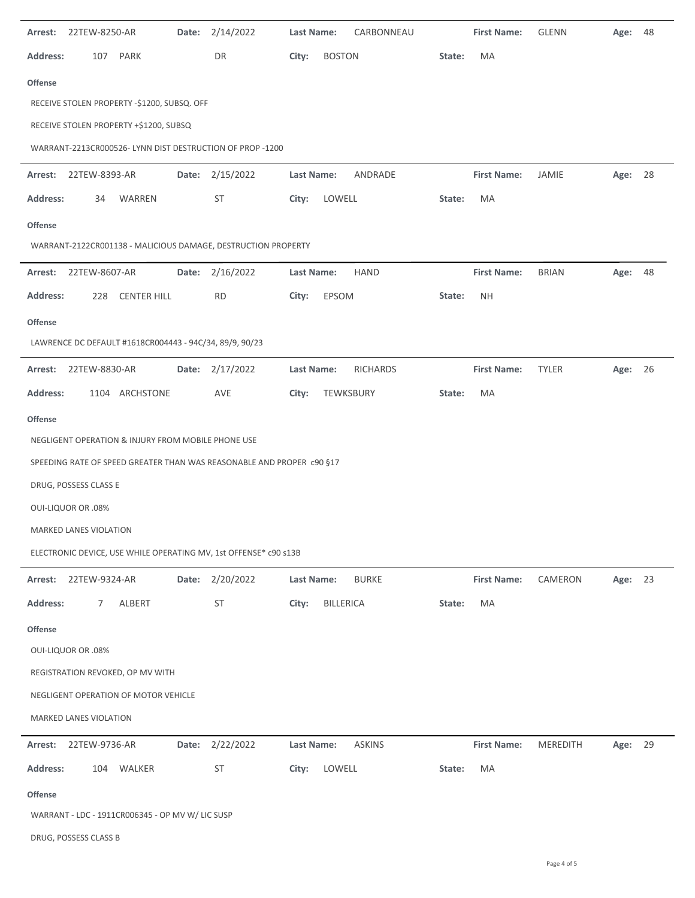| Arrest:         | 22TEW-8250-AR             |                                                         | Date: | 2/14/2022                                                             | Last Name: |               | CARBONNEAU      |        | <b>First Name:</b> | <b>GLENN</b> | Age:    | 48 |
|-----------------|---------------------------|---------------------------------------------------------|-------|-----------------------------------------------------------------------|------------|---------------|-----------------|--------|--------------------|--------------|---------|----|
| <b>Address:</b> | 107                       | PARK                                                    |       | DR                                                                    | City:      | <b>BOSTON</b> |                 | State: | MA                 |              |         |    |
| <b>Offense</b>  |                           |                                                         |       |                                                                       |            |               |                 |        |                    |              |         |    |
|                 |                           | RECEIVE STOLEN PROPERTY -\$1200, SUBSQ. OFF             |       |                                                                       |            |               |                 |        |                    |              |         |    |
|                 |                           | RECEIVE STOLEN PROPERTY +\$1200, SUBSQ                  |       |                                                                       |            |               |                 |        |                    |              |         |    |
|                 |                           |                                                         |       | WARRANT-2213CR000526-LYNN DIST DESTRUCTION OF PROP -1200              |            |               |                 |        |                    |              |         |    |
| Arrest:         | 22TEW-8393-AR             |                                                         |       | Date: 2/15/2022                                                       | Last Name: |               | ANDRADE         |        | <b>First Name:</b> | JAMIE        | Age: 28 |    |
| <b>Address:</b> | 34                        | WARREN                                                  |       | ST                                                                    | City:      | LOWELL        |                 | State: | MA                 |              |         |    |
| <b>Offense</b>  |                           |                                                         |       |                                                                       |            |               |                 |        |                    |              |         |    |
|                 |                           |                                                         |       | WARRANT-2122CR001138 - MALICIOUS DAMAGE, DESTRUCTION PROPERTY         |            |               |                 |        |                    |              |         |    |
| Arrest:         | 22TEW-8607-AR             |                                                         | Date: | 2/16/2022                                                             | Last Name: |               | <b>HAND</b>     |        | <b>First Name:</b> | <b>BRIAN</b> | Age:    | 48 |
| <b>Address:</b> | 228                       | <b>CENTER HILL</b>                                      |       | <b>RD</b>                                                             | City:      | EPSOM         |                 | State: | <b>NH</b>          |              |         |    |
| <b>Offense</b>  |                           |                                                         |       |                                                                       |            |               |                 |        |                    |              |         |    |
|                 |                           | LAWRENCE DC DEFAULT #1618CR004443 - 94C/34, 89/9, 90/23 |       |                                                                       |            |               |                 |        |                    |              |         |    |
| Arrest:         | 22TEW-8830-AR             |                                                         |       | Date: 2/17/2022                                                       | Last Name: |               | <b>RICHARDS</b> |        | <b>First Name:</b> | <b>TYLER</b> | Age:    | 26 |
| <b>Address:</b> |                           | 1104 ARCHSTONE                                          |       | AVE                                                                   | City:      | TEWKSBURY     |                 | State: | MA                 |              |         |    |
| Offense         |                           |                                                         |       |                                                                       |            |               |                 |        |                    |              |         |    |
|                 |                           | NEGLIGENT OPERATION & INJURY FROM MOBILE PHONE USE      |       |                                                                       |            |               |                 |        |                    |              |         |    |
|                 |                           |                                                         |       | SPEEDING RATE OF SPEED GREATER THAN WAS REASONABLE AND PROPER c90 §17 |            |               |                 |        |                    |              |         |    |
|                 | DRUG, POSSESS CLASS E     |                                                         |       |                                                                       |            |               |                 |        |                    |              |         |    |
|                 | <b>OUI-LIQUOR OR .08%</b> |                                                         |       |                                                                       |            |               |                 |        |                    |              |         |    |
|                 | MARKED LANES VIOLATION    |                                                         |       |                                                                       |            |               |                 |        |                    |              |         |    |
|                 |                           |                                                         |       | ELECTRONIC DEVICE, USE WHILE OPERATING MV, 1st OFFENSE* c90 s13B      |            |               |                 |        |                    |              |         |    |
| Arrest:         | 22TEW-9324-AR             |                                                         |       | Date: 2/20/2022                                                       | Last Name: |               | <b>BURKE</b>    |        | <b>First Name:</b> | CAMERON      | Age:    | 23 |
| <b>Address:</b> | 7                         | ALBERT                                                  |       | ST                                                                    | City:      | BILLERICA     |                 | State: | MA                 |              |         |    |
| <b>Offense</b>  |                           |                                                         |       |                                                                       |            |               |                 |        |                    |              |         |    |
|                 | <b>OUI-LIQUOR OR .08%</b> |                                                         |       |                                                                       |            |               |                 |        |                    |              |         |    |
|                 |                           | REGISTRATION REVOKED, OP MV WITH                        |       |                                                                       |            |               |                 |        |                    |              |         |    |
|                 |                           | NEGLIGENT OPERATION OF MOTOR VEHICLE                    |       |                                                                       |            |               |                 |        |                    |              |         |    |
|                 | MARKED LANES VIOLATION    |                                                         |       |                                                                       |            |               |                 |        |                    |              |         |    |
| Arrest:         | 22TEW-9736-AR             |                                                         |       | Date: 2/22/2022                                                       | Last Name: |               | <b>ASKINS</b>   |        | <b>First Name:</b> | MEREDITH     | Age:    | 29 |
| <b>Address:</b> | 104                       | WALKER                                                  |       | ST                                                                    | City:      | LOWELL        |                 | State: | MA                 |              |         |    |
| <b>Offense</b>  |                           |                                                         |       |                                                                       |            |               |                 |        |                    |              |         |    |
|                 |                           | WARRANT - LDC - 1911CR006345 - OP MV W/ LIC SUSP        |       |                                                                       |            |               |                 |        |                    |              |         |    |
|                 | DRUG, POSSESS CLASS B     |                                                         |       |                                                                       |            |               |                 |        |                    |              |         |    |